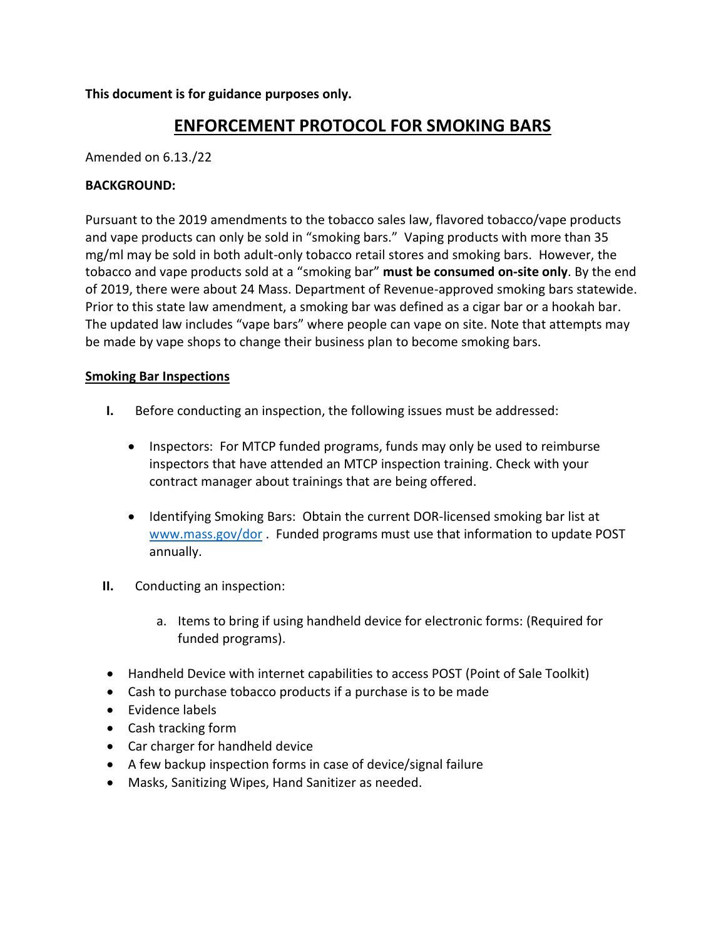**This document is for guidance purposes only.**

## **ENFORCEMENT PROTOCOL FOR SMOKING BARS**

Amended on 6.13./22

## **BACKGROUND:**

Pursuant to the 2019 amendments to the tobacco sales law, flavored tobacco/vape products and vape products can only be sold in "smoking bars." Vaping products with more than 35 mg/ml may be sold in both adult-only tobacco retail stores and smoking bars. However, the tobacco and vape products sold at a "smoking bar" **must be consumed on-site only**. By the end of 2019, there were about 24 Mass. Department of Revenue-approved smoking bars statewide. Prior to this state law amendment, a smoking bar was defined as a cigar bar or a hookah bar. The updated law includes "vape bars" where people can vape on site. Note that attempts may be made by vape shops to change their business plan to become smoking bars.

## **Smoking Bar Inspections**

- **I.** Before conducting an inspection, the following issues must be addressed:
	- Inspectors: For MTCP funded programs, funds may only be used to reimburse inspectors that have attended an MTCP inspection training. Check with your contract manager about trainings that are being offered.
	- Identifying Smoking Bars: Obtain the current DOR-licensed smoking bar list at [www.mass.gov/dor](http://www.mass.gov/dor). Funded programs must use that information to update POST annually.
- **II.** Conducting an inspection:
	- a. Items to bring if using handheld device for electronic forms: (Required for funded programs).
- Handheld Device with internet capabilities to access POST (Point of Sale Toolkit)
- Cash to purchase tobacco products if a purchase is to be made
- Evidence labels
- Cash tracking form
- Car charger for handheld device
- A few backup inspection forms in case of device/signal failure
- Masks, Sanitizing Wipes, Hand Sanitizer as needed.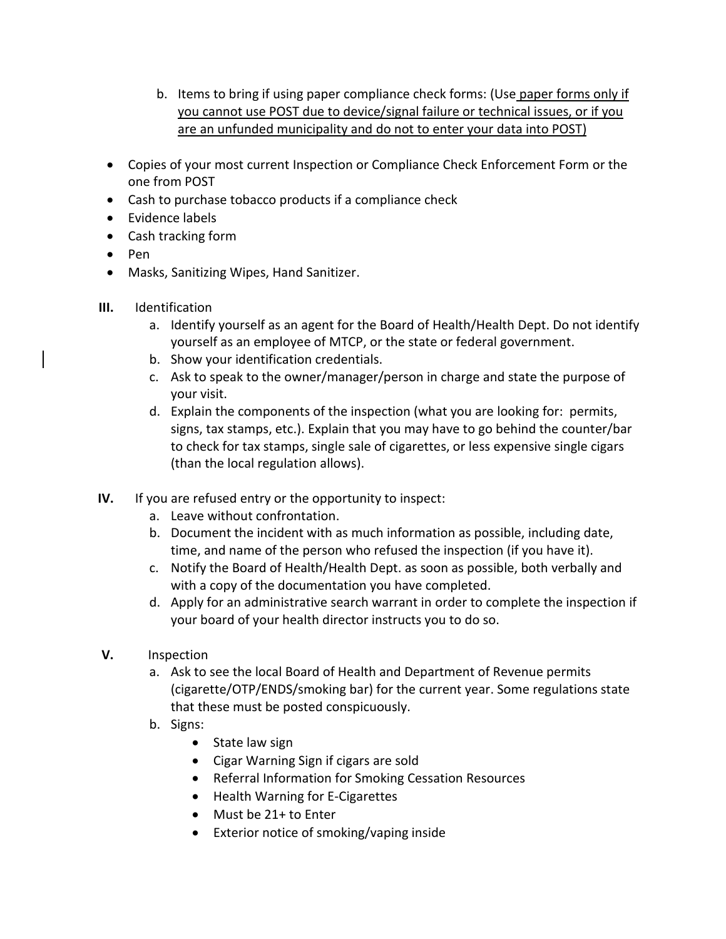- b. Items to bring if using paper compliance check forms: (Use paper forms only if you cannot use POST due to device/signal failure or technical issues, or if you are an unfunded municipality and do not to enter your data into POST)
- Copies of your most current Inspection or Compliance Check Enforcement Form or the one from POST
- Cash to purchase tobacco products if a compliance check
- Evidence labels
- Cash tracking form
- Pen
- Masks, Sanitizing Wipes, Hand Sanitizer.
- **III.** Identification
	- a. Identify yourself as an agent for the Board of Health/Health Dept. Do not identify yourself as an employee of MTCP, or the state or federal government.
	- b. Show your identification credentials.
	- c. Ask to speak to the owner/manager/person in charge and state the purpose of your visit.
	- d. Explain the components of the inspection (what you are looking for: permits, signs, tax stamps, etc.). Explain that you may have to go behind the counter/bar to check for tax stamps, single sale of cigarettes, or less expensive single cigars (than the local regulation allows).
- **IV.** If you are refused entry or the opportunity to inspect:
	- a. Leave without confrontation.
	- b. Document the incident with as much information as possible, including date, time, and name of the person who refused the inspection (if you have it).
	- c. Notify the Board of Health/Health Dept. as soon as possible, both verbally and with a copy of the documentation you have completed.
	- d. Apply for an administrative search warrant in order to complete the inspection if your board of your health director instructs you to do so.
- **V.** Inspection
	- a. Ask to see the local Board of Health and Department of Revenue permits (cigarette/OTP/ENDS/smoking bar) for the current year. Some regulations state that these must be posted conspicuously.
	- b. Signs:
		- State law sign
		- Cigar Warning Sign if cigars are sold
		- Referral Information for Smoking Cessation Resources
		- Health Warning for E-Cigarettes
		- Must be 21+ to Enter
		- Exterior notice of smoking/vaping inside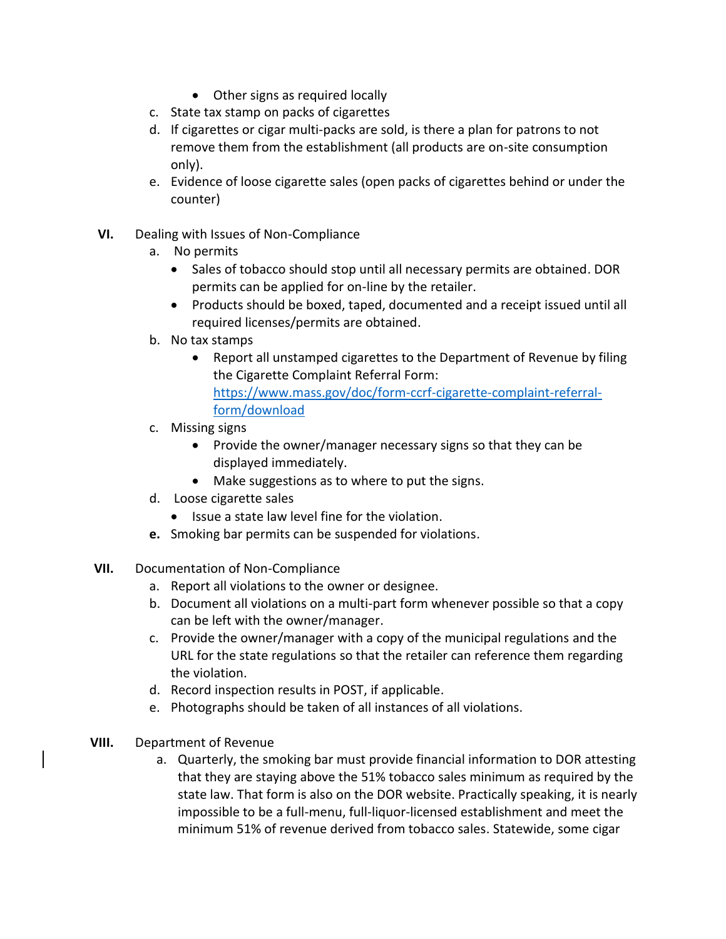- Other signs as required locally
- c. State tax stamp on packs of cigarettes
- d. If cigarettes or cigar multi-packs are sold, is there a plan for patrons to not remove them from the establishment (all products are on-site consumption only).
- e. Evidence of loose cigarette sales (open packs of cigarettes behind or under the counter)
- **VI.** Dealing with Issues of Non-Compliance
	- a. No permits
		- Sales of tobacco should stop until all necessary permits are obtained. DOR permits can be applied for on-line by the retailer.
		- Products should be boxed, taped, documented and a receipt issued until all required licenses/permits are obtained.
	- b. No tax stamps
		- Report all unstamped cigarettes to the Department of Revenue by filing the Cigarette Complaint Referral Form: [https://www.mass.gov/doc/form-ccrf-cigarette-complaint-referral](https://www.mass.gov/doc/form-ccrf-cigarette-complaint-referral-form/download)[form/download](https://www.mass.gov/doc/form-ccrf-cigarette-complaint-referral-form/download)
	- c. Missing signs
		- Provide the owner/manager necessary signs so that they can be displayed immediately.
		- Make suggestions as to where to put the signs.
	- d. Loose cigarette sales
		- Issue a state law level fine for the violation.
	- **e.** Smoking bar permits can be suspended for violations.
- **VII.** Documentation of Non-Compliance
	- a. Report all violations to the owner or designee.
	- b. Document all violations on a multi-part form whenever possible so that a copy can be left with the owner/manager.
	- c. Provide the owner/manager with a copy of the municipal regulations and the URL for the state regulations so that the retailer can reference them regarding the violation.
	- d. Record inspection results in POST, if applicable.
	- e. Photographs should be taken of all instances of all violations.
- **VIII.** Department of Revenue
	- a. Quarterly, the smoking bar must provide financial information to DOR attesting that they are staying above the 51% tobacco sales minimum as required by the state law. That form is also on the DOR website. Practically speaking, it is nearly impossible to be a full-menu, full-liquor-licensed establishment and meet the minimum 51% of revenue derived from tobacco sales. Statewide, some cigar